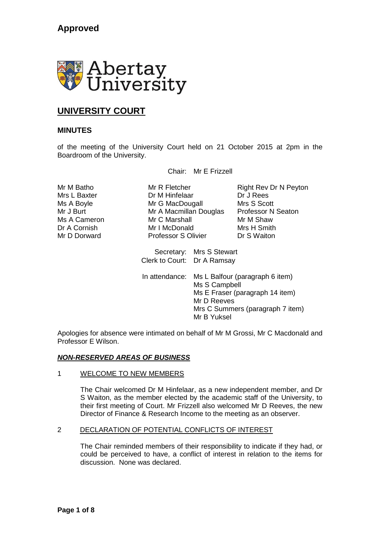

# **UNIVERSITY COURT**

## **MINUTES**

of the meeting of the University Court held on 21 October 2015 at 2pm in the Boardroom of the University.

Chair: Mr E Frizzell

Mrs L Baxter **Dr M Hinfelaar** Dr J Rees Ms A Boyle **Mr G MacDougall** Mrs S Scott Mr J Burt Mr A Macmillan Douglas Professor N Seaton Ms A Cameron Mr C Marshall Mr M Shaw<br>Dr A Cornish Mr I McDonald Mrs H Smith Dr A Cornish **Mr I McDonald** Mrs H Smith<br>
Mr D Dorward **Mr Professor S Olivier** Dr S Waiton Professor S Olivier

Mr M Batho **Mr R Fletcher** Right Rev Dr N Peyton

Secretary: Mrs S Stewart Clerk to Court: Dr A Ramsay

In attendance: Ms L Balfour (paragraph 6 item) Ms S Campbell Ms E Fraser (paragraph 14 item) Mr D Reeves Mrs C Summers (paragraph 7 item) Mr B Yuksel

Apologies for absence were intimated on behalf of Mr M Grossi, Mr C Macdonald and Professor E Wilson.

### *NON-RESERVED AREAS OF BUSINESS*

#### 1 WELCOME TO NEW MEMBERS

The Chair welcomed Dr M Hinfelaar, as a new independent member, and Dr S Waiton, as the member elected by the academic staff of the University, to their first meeting of Court. Mr Frizzell also welcomed Mr D Reeves, the new Director of Finance & Research Income to the meeting as an observer.

#### 2 DECLARATION OF POTENTIAL CONFLICTS OF INTEREST

The Chair reminded members of their responsibility to indicate if they had, or could be perceived to have, a conflict of interest in relation to the items for discussion. None was declared.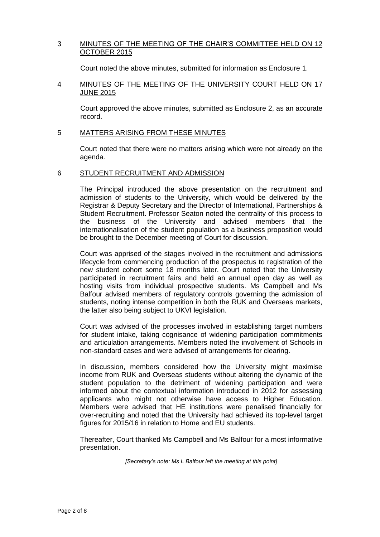### 3 MINUTES OF THE MEETING OF THE CHAIR'S COMMITTEE HELD ON 12 OCTOBER 2015

Court noted the above minutes, submitted for information as Enclosure 1.

### 4 MINUTES OF THE MEETING OF THE UNIVERSITY COURT HELD ON 17 JUNE 2015

Court approved the above minutes, submitted as Enclosure 2, as an accurate record.

#### 5 MATTERS ARISING FROM THESE MINUTES

Court noted that there were no matters arising which were not already on the agenda.

### 6 STUDENT RECRUITMENT AND ADMISSION

The Principal introduced the above presentation on the recruitment and admission of students to the University, which would be delivered by the Registrar & Deputy Secretary and the Director of International, Partnerships & Student Recruitment. Professor Seaton noted the centrality of this process to the business of the University and advised members that the internationalisation of the student population as a business proposition would be brought to the December meeting of Court for discussion.

Court was apprised of the stages involved in the recruitment and admissions lifecycle from commencing production of the prospectus to registration of the new student cohort some 18 months later. Court noted that the University participated in recruitment fairs and held an annual open day as well as hosting visits from individual prospective students. Ms Campbell and Ms Balfour advised members of regulatory controls governing the admission of students, noting intense competition in both the RUK and Overseas markets, the latter also being subject to UKVI legislation.

Court was advised of the processes involved in establishing target numbers for student intake, taking cognisance of widening participation commitments and articulation arrangements. Members noted the involvement of Schools in non-standard cases and were advised of arrangements for clearing.

In discussion, members considered how the University might maximise income from RUK and Overseas students without altering the dynamic of the student population to the detriment of widening participation and were informed about the contextual information introduced in 2012 for assessing applicants who might not otherwise have access to Higher Education. Members were advised that HE institutions were penalised financially for over-recruiting and noted that the University had achieved its top-level target figures for 2015/16 in relation to Home and EU students.

Thereafter, Court thanked Ms Campbell and Ms Balfour for a most informative presentation.

*[Secretary's note: Ms L Balfour left the meeting at this point]*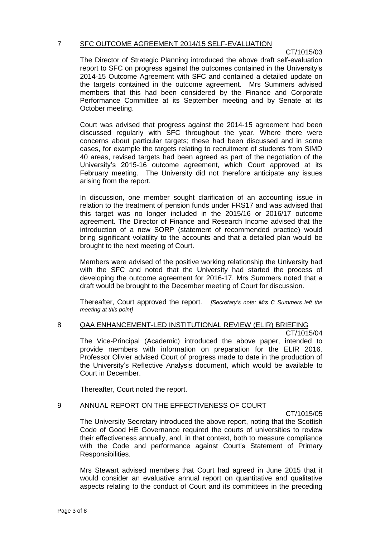### 7 SFC OUTCOME AGREEMENT 2014/15 SELF-EVALUATION

### CT/1015/03

The Director of Strategic Planning introduced the above draft self-evaluation report to SFC on progress against the outcomes contained in the University's 2014-15 Outcome Agreement with SFC and contained a detailed update on the targets contained in the outcome agreement. Mrs Summers advised members that this had been considered by the Finance and Corporate Performance Committee at its September meeting and by Senate at its October meeting.

Court was advised that progress against the 2014-15 agreement had been discussed regularly with SFC throughout the year. Where there were concerns about particular targets; these had been discussed and in some cases, for example the targets relating to recruitment of students from SIMD 40 areas, revised targets had been agreed as part of the negotiation of the University's 2015-16 outcome agreement, which Court approved at its February meeting. The University did not therefore anticipate any issues arising from the report.

In discussion, one member sought clarification of an accounting issue in relation to the treatment of pension funds under FRS17 and was advised that this target was no longer included in the 2015/16 or 2016/17 outcome agreement. The Director of Finance and Research Income advised that the introduction of a new SORP (statement of recommended practice) would bring significant volatility to the accounts and that a detailed plan would be brought to the next meeting of Court.

Members were advised of the positive working relationship the University had with the SFC and noted that the University had started the process of developing the outcome agreement for 2016-17. Mrs Summers noted that a draft would be brought to the December meeting of Court for discussion.

Thereafter, Court approved the report. *[Secretary's note: Mrs C Summers left the meeting at this point]*

### 8 QAA ENHANCEMENT-LED INSTITUTIONAL REVIEW (ELIR) BRIEFING

CT/1015/04 The Vice-Principal (Academic) introduced the above paper, intended to provide members with information on preparation for the ELIR 2016. Professor Olivier advised Court of progress made to date in the production of the University's Reflective Analysis document, which would be available to Court in December.

Thereafter, Court noted the report.

#### 9 ANNUAL REPORT ON THE EFFECTIVENESS OF COURT

CT/1015/05

The University Secretary introduced the above report, noting that the Scottish Code of Good HE Governance required the courts of universities to review their effectiveness annually, and, in that context, both to measure compliance with the Code and performance against Court's Statement of Primary Responsibilities.

Mrs Stewart advised members that Court had agreed in June 2015 that it would consider an evaluative annual report on quantitative and qualitative aspects relating to the conduct of Court and its committees in the preceding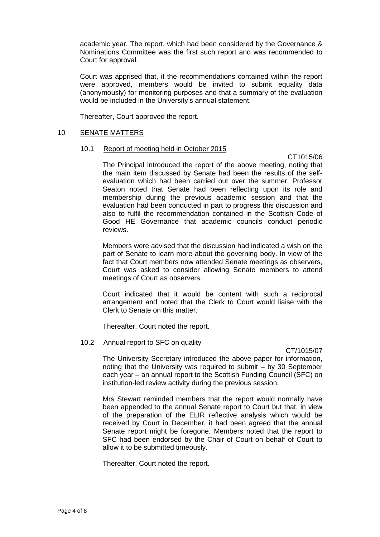academic year. The report, which had been considered by the Governance & Nominations Committee was the first such report and was recommended to Court for approval.

Court was apprised that, if the recommendations contained within the report were approved, members would be invited to submit equality data (anonymously) for monitoring purposes and that a summary of the evaluation would be included in the University's annual statement.

Thereafter, Court approved the report.

#### 10 SENATE MATTERS

#### 10.1 Report of meeting held in October 2015

CT1015/06 The Principal introduced the report of the above meeting, noting that the main item discussed by Senate had been the results of the selfevaluation which had been carried out over the summer. Professor Seaton noted that Senate had been reflecting upon its role and membership during the previous academic session and that the evaluation had been conducted in part to progress this discussion and also to fulfil the recommendation contained in the Scottish Code of Good HE Governance that academic councils conduct periodic reviews.

Members were advised that the discussion had indicated a wish on the part of Senate to learn more about the governing body. In view of the fact that Court members now attended Senate meetings as observers, Court was asked to consider allowing Senate members to attend meetings of Court as observers.

Court indicated that it would be content with such a reciprocal arrangement and noted that the Clerk to Court would liaise with the Clerk to Senate on this matter.

Thereafter, Court noted the report.

#### 10.2 Annual report to SFC on quality

CT/1015/07

The University Secretary introduced the above paper for information, noting that the University was required to submit – by 30 September each year – an annual report to the Scottish Funding Council (SFC) on institution-led review activity during the previous session.

Mrs Stewart reminded members that the report would normally have been appended to the annual Senate report to Court but that, in view of the preparation of the ELIR reflective analysis which would be received by Court in December, it had been agreed that the annual Senate report might be foregone. Members noted that the report to SFC had been endorsed by the Chair of Court on behalf of Court to allow it to be submitted timeously.

Thereafter, Court noted the report.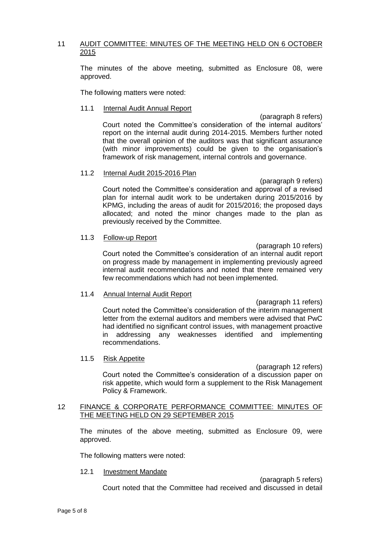### 11 AUDIT COMMITTEE: MINUTES OF THE MEETING HELD ON 6 OCTOBER 2015

The minutes of the above meeting, submitted as Enclosure 08, were approved.

The following matters were noted:

#### 11.1 Internal Audit Annual Report

(paragraph 8 refers) Court noted the Committee's consideration of the internal auditors' report on the internal audit during 2014-2015. Members further noted that the overall opinion of the auditors was that significant assurance (with minor improvements) could be given to the organisation's framework of risk management, internal controls and governance.

#### 11.2 Internal Audit 2015-2016 Plan

(paragraph 9 refers) Court noted the Committee's consideration and approval of a revised plan for internal audit work to be undertaken during 2015/2016 by KPMG, including the areas of audit for 2015/2016; the proposed days allocated; and noted the minor changes made to the plan as previously received by the Committee.

#### 11.3 Follow-up Report

(paragraph 10 refers) Court noted the Committee's consideration of an internal audit report on progress made by management in implementing previously agreed internal audit recommendations and noted that there remained very few recommendations which had not been implemented.

#### 11.4 Annual Internal Audit Report

(paragraph 11 refers) Court noted the Committee's consideration of the interim management letter from the external auditors and members were advised that PwC had identified no significant control issues, with management proactive in addressing any weaknesses identified and implementing recommendations.

#### 11.5 Risk Appetite

(paragraph 12 refers) Court noted the Committee's consideration of a discussion paper on risk appetite, which would form a supplement to the Risk Management Policy & Framework.

#### 12 FINANCE & CORPORATE PERFORMANCE COMMITTEE: MINUTES OF THE MEETING HELD ON 29 SEPTEMBER 2015

The minutes of the above meeting, submitted as Enclosure 09, were approved.

The following matters were noted:

#### 12.1 Investment Mandate

(paragraph 5 refers) Court noted that the Committee had received and discussed in detail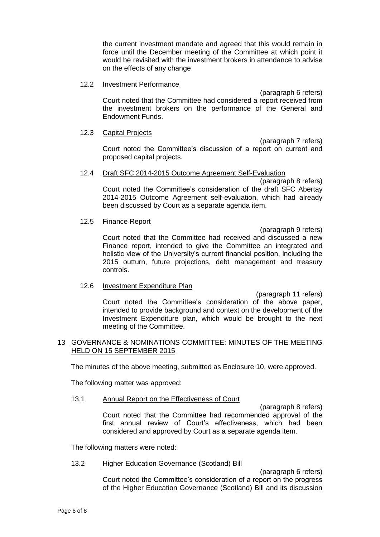the current investment mandate and agreed that this would remain in force until the December meeting of the Committee at which point it would be revisited with the investment brokers in attendance to advise on the effects of any change

#### 12.2 Investment Performance

(paragraph 6 refers) Court noted that the Committee had considered a report received from the investment brokers on the performance of the General and Endowment Funds.

#### 12.3 Capital Projects

(paragraph 7 refers) Court noted the Committee's discussion of a report on current and proposed capital projects.

#### 12.4 Draft SFC 2014-2015 Outcome Agreement Self-Evaluation

(paragraph 8 refers) Court noted the Committee's consideration of the draft SFC Abertay 2014-2015 Outcome Agreement self-evaluation, which had already been discussed by Court as a separate agenda item.

#### 12.5 Finance Report

(paragraph 9 refers) Court noted that the Committee had received and discussed a new Finance report, intended to give the Committee an integrated and holistic view of the University's current financial position, including the 2015 outturn, future projections, debt management and treasury controls.

### 12.6 Investment Expenditure Plan

(paragraph 11 refers) Court noted the Committee's consideration of the above paper, intended to provide background and context on the development of the Investment Expenditure plan, which would be brought to the next meeting of the Committee.

#### 13 GOVERNANCE & NOMINATIONS COMMITTEE: MINUTES OF THE MEETING HELD ON 15 SEPTEMBER 2015

The minutes of the above meeting, submitted as Enclosure 10, were approved.

The following matter was approved:

#### 13.1 Annual Report on the Effectiveness of Court

(paragraph 8 refers) Court noted that the Committee had recommended approval of the first annual review of Court's effectiveness, which had been considered and approved by Court as a separate agenda item.

The following matters were noted:

#### 13.2 Higher Education Governance (Scotland) Bill

(paragraph 6 refers) Court noted the Committee's consideration of a report on the progress of the Higher Education Governance (Scotland) Bill and its discussion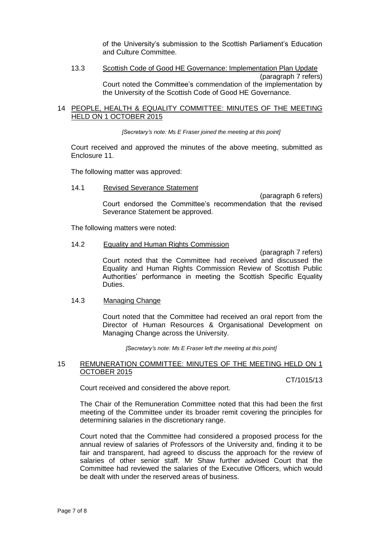of the University's submission to the Scottish Parliament's Education and Culture Committee.

#### 13.3 Scottish Code of Good HE Governance: Implementation Plan Update (paragraph 7 refers) Court noted the Committee's commendation of the implementation by the University of the Scottish Code of Good HE Governance.

#### 14 PEOPLE, HEALTH & EQUALITY COMMITTEE: MINUTES OF THE MEETING HELD ON 1 OCTOBER 2015

*[Secretary's note: Ms E Fraser joined the meeting at this point]*

Court received and approved the minutes of the above meeting, submitted as Enclosure 11.

The following matter was approved:

14.1 Revised Severance Statement

(paragraph 6 refers)

Court endorsed the Committee's recommendation that the revised Severance Statement be approved.

The following matters were noted:

#### 14.2 Equality and Human Rights Commission

(paragraph 7 refers) Court noted that the Committee had received and discussed the Equality and Human Rights Commission Review of Scottish Public Authorities' performance in meeting the Scottish Specific Equality Duties.

### 14.3 Managing Change

Court noted that the Committee had received an oral report from the Director of Human Resources & Organisational Development on Managing Change across the University.

*[Secretary's note: Ms E Fraser left the meeting at this point]*

#### 15 REMUNERATION COMMITTEE: MINUTES OF THE MEETING HELD ON 1 OCTOBER 2015

CT/1015/13

Court received and considered the above report.

The Chair of the Remuneration Committee noted that this had been the first meeting of the Committee under its broader remit covering the principles for determining salaries in the discretionary range.

Court noted that the Committee had considered a proposed process for the annual review of salaries of Professors of the University and, finding it to be fair and transparent, had agreed to discuss the approach for the review of salaries of other senior staff. Mr Shaw further advised Court that the Committee had reviewed the salaries of the Executive Officers, which would be dealt with under the reserved areas of business.